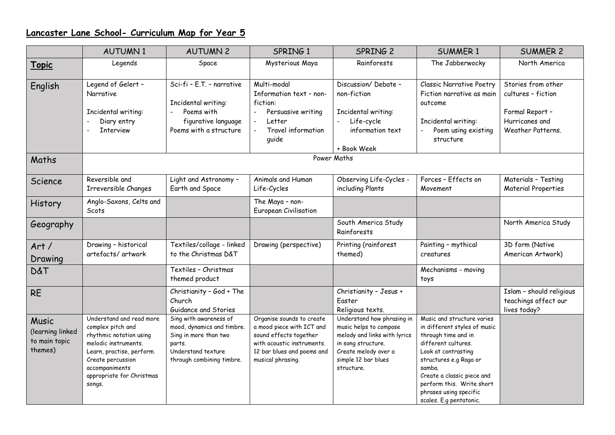## **Lancaster Lane School- Curriculum Map for Year 5**

|                                                       | <b>AUTUMN1</b>                                                                                                                                                                                              | <b>AUTUMN 2</b>                                                                                                                            | SPRING 1                                                                                                                                                                  | SPRING 2                                                                                                                                                                | <b>SUMMER 1</b>                                                                                                                                                                                                                                                                     | <b>SUMMER 2</b>                                                                                    |  |  |  |  |
|-------------------------------------------------------|-------------------------------------------------------------------------------------------------------------------------------------------------------------------------------------------------------------|--------------------------------------------------------------------------------------------------------------------------------------------|---------------------------------------------------------------------------------------------------------------------------------------------------------------------------|-------------------------------------------------------------------------------------------------------------------------------------------------------------------------|-------------------------------------------------------------------------------------------------------------------------------------------------------------------------------------------------------------------------------------------------------------------------------------|----------------------------------------------------------------------------------------------------|--|--|--|--|
| <u>Topic</u>                                          | Legends                                                                                                                                                                                                     | Space                                                                                                                                      | Mysterious Maya                                                                                                                                                           | Rainforests                                                                                                                                                             | The Jabberwocky                                                                                                                                                                                                                                                                     | North America                                                                                      |  |  |  |  |
| English                                               | Legend of Gelert -<br>Narrative<br>Incidental writing:<br>Diary entry<br><b>Interview</b>                                                                                                                   | Sci-fi - E.T. - narrative<br>Incidental writing:<br>Poems with<br>figurative language<br>Poems with a structure                            | Multi-modal<br>Information text - non-<br>fiction:<br>Persuasive writing<br>Letter<br>$\overline{\phantom{m}}$<br>Travel information<br>$\overline{\phantom{a}}$<br>quide | Discussion/Debate -<br>non-fiction<br>Incidental writing:<br>Life-cycle<br>information text<br>+ Book Week                                                              | <b>Classic Narrative Poetry</b><br>Fiction narrative as main<br>outcome<br>Incidental writing:<br>Poem using existing<br>structure                                                                                                                                                  | Stories from other<br>cultures - fiction<br>Formal Report -<br>Hurricanes and<br>Weather Patterns. |  |  |  |  |
| Maths                                                 | Power Maths                                                                                                                                                                                                 |                                                                                                                                            |                                                                                                                                                                           |                                                                                                                                                                         |                                                                                                                                                                                                                                                                                     |                                                                                                    |  |  |  |  |
| Science                                               | Reversible and<br>Irreversible Changes                                                                                                                                                                      | Light and Astronomy -<br>Earth and Space                                                                                                   | Animals and Human<br>Life-Cycles                                                                                                                                          | Observing Life-Cycles -<br>including Plants                                                                                                                             | Forces - Effects on<br>Movement                                                                                                                                                                                                                                                     | Materials - Testing<br><b>Material Properties</b>                                                  |  |  |  |  |
| History                                               | Anglo-Saxons, Celts and<br>Scots                                                                                                                                                                            |                                                                                                                                            | The Maya - non-<br>European Civilisation                                                                                                                                  |                                                                                                                                                                         |                                                                                                                                                                                                                                                                                     |                                                                                                    |  |  |  |  |
| Geography                                             |                                                                                                                                                                                                             |                                                                                                                                            |                                                                                                                                                                           | South America Study<br>Rainforests                                                                                                                                      |                                                                                                                                                                                                                                                                                     | North America Study                                                                                |  |  |  |  |
| Art/<br>Drawing                                       | Drawing - historical<br>artefacts/artwork                                                                                                                                                                   | Textiles/collage - linked<br>to the Christmas D&T                                                                                          | Drawing (perspective)                                                                                                                                                     | Printing (rainforest<br>themed)                                                                                                                                         | Painting - mythical<br>creatures                                                                                                                                                                                                                                                    | 3D form (Native<br>American Artwork)                                                               |  |  |  |  |
| <b>D&amp;T</b>                                        |                                                                                                                                                                                                             | Textiles - Christmas<br>themed product                                                                                                     |                                                                                                                                                                           |                                                                                                                                                                         | Mechanisms - moving<br>toys                                                                                                                                                                                                                                                         |                                                                                                    |  |  |  |  |
| <b>RE</b>                                             |                                                                                                                                                                                                             | Christianity - God + The<br>Church<br>Guidance and Stories                                                                                 |                                                                                                                                                                           | Christianity - Jesus +<br>Easter<br>Religious texts.                                                                                                                    |                                                                                                                                                                                                                                                                                     | Islam - should religious<br>teachings affect our<br>lives today?                                   |  |  |  |  |
| Music<br>(learning linked<br>to main topic<br>themes) | Understand and read more<br>complex pitch and<br>rhythmic notation using<br>melodic instruments.<br>Learn, practise, perform.<br>Create percussion<br>accompaniments<br>appropriate for Christmas<br>songs. | Sing with awareness of<br>mood, dynamics and timbre.<br>Sing in more than two<br>parts.<br>Understand texture<br>through combining timbre. | Organise sounds to create<br>a mood piece with ICT and<br>sound effects together<br>with acoustic instruments.<br>12 bar blues and poems and<br>musical phrasing.         | Understand how phrasing in<br>music helps to compose<br>melody and links with lyrics<br>in song structure.<br>Create melody over a<br>simple 12 bar blues<br>structure. | Music and structure varies<br>in different styles of music<br>through time and in<br>different cultures.<br>Look at contrasting<br>structures e.g Raga or<br>samba.<br>Create a classic piece and<br>perform this. Write short<br>phrases using specific<br>scales. E.g pentatonic. |                                                                                                    |  |  |  |  |